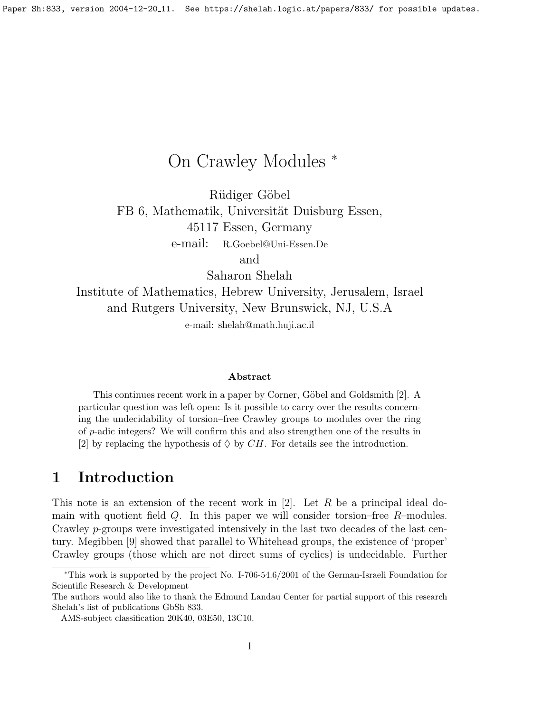# On Crawley Modules <sup>∗</sup>

Rüdiger Göbel FB 6, Mathematik, Universität Duisburg Essen, 45117 Essen, Germany e-mail: R.Goebel@Uni-Essen.De

and

Saharon Shelah

Institute of Mathematics, Hebrew University, Jerusalem, Israel and Rutgers University, New Brunswick, NJ, U.S.A

e-mail: shelah@math.huji.ac.il

#### Abstract

This continues recent work in a paper by Corner, Göbel and Goldsmith [\[2\]](#page-8-0). A particular question was left open: Is it possible to carry over the results concerning the undecidability of torsion–free Crawley groups to modules over the ring of p-adic integers? We will confirm this and also strengthen one of the results in [\[2\]](#page-8-0) by replacing the hypothesis of  $\Diamond$  by CH. For details see the introduction.

## 1 Introduction

This note is an extension of the recent work in  $[2]$ . Let R be a principal ideal domain with quotient field  $Q$ . In this paper we will consider torsion–free  $R$ –modules. Crawley p-groups were investigated intensively in the last two decades of the last century. Megibben [\[9\]](#page-9-0) showed that parallel to Whitehead groups, the existence of 'proper' Crawley groups (those which are not direct sums of cyclics) is undecidable. Further

<sup>∗</sup>This work is supported by the project No. I-706-54.6/2001 of the German-Israeli Foundation for Scientific Research & Development

The authors would also like to thank the Edmund Landau Center for partial support of this research Shelah's list of publications GbSh 833.

AMS-subject classification 20K40, 03E50, 13C10.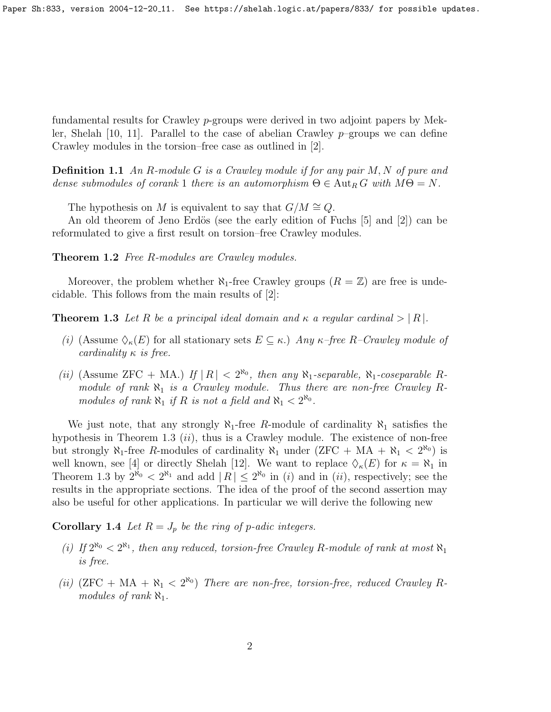Paper Sh:833, version 2004-12-20<sub>-</sub>11. See https://shelah.logic.at/papers/833/ for possible updates.

fundamental results for Crawley p-groups were derived in two adjoint papers by Mek-ler, Shelah [\[10,](#page-9-1) [11\]](#page-9-2). Parallel to the case of abelian Crawley  $p$ –groups we can define Crawley modules in the torsion–free case as outlined in [\[2\]](#page-8-0).

**Definition 1.1** An R-module G is a Crawley module if for any pair  $M, N$  of pure and dense submodules of corank 1 there is an automorphism  $\Theta \in \text{Aut}_R G$  with  $M\Theta = N$ .

The hypothesis on M is equivalent to say that  $G/M \cong Q$ .

An old theorem of Jeno Erdös (see the early edition of Fuchs  $|5|$  and  $|2|$ ) can be reformulated to give a first result on torsion–free Crawley modules.

<span id="page-1-1"></span>Theorem 1.2 Free R-modules are Crawley modules.

Moreover, the problem whether  $\aleph_1$ -free Crawley groups  $(R = \mathbb{Z})$  are free is undecidable. This follows from the main results of [\[2\]](#page-8-0):

<span id="page-1-0"></span>**Theorem 1.3** Let R be a principal ideal domain and  $\kappa$  a regular cardinal  $> |R|$ .

- (i) (Assume  $\Diamond_{\kappa}(E)$  for all stationary sets  $E \subseteq \kappa$ .) Any  $\kappa$ -free R-Crawley module of cardinality  $\kappa$  is free.
- (ii) (Assume ZFC + MA.) If  $|R| < 2^{\aleph_0}$ , then any  $\aleph_1$ -separable,  $\aleph_1$ -coseparable Rmodule of rank  $\aleph_1$  is a Crawley module. Thus there are non-free Crawley Rmodules of rank  $\aleph_1$  if R is not a field and  $\aleph_1 < 2^{\aleph_0}$ .

We just note, that any strongly  $\aleph_1$ -free R-module of cardinality  $\aleph_1$  satisfies the hypothesis in Theorem [1.3](#page-1-0)  $(ii)$ , thus is a Crawley module. The existence of non-free but strongly  $\aleph_1$ -free R-modules of cardinality  $\aleph_1$  under  $(ZFC + MA + \aleph_1 < 2^{\aleph_0})$  is well known, see [\[4\]](#page-9-4) or directly Shelah [\[12\]](#page-9-5). We want to replace  $\Diamond_{\kappa}(E)$  for  $\kappa = \aleph_1$  in Theorem [1.3](#page-1-0) by  $2^{\aleph_0} < 2^{\aleph_1}$  and add  $|R| \leq 2^{\aleph_0}$  in (i) and in (ii), respectively; see the results in the appropriate sections. The idea of the proof of the second assertion may also be useful for other applications. In particular we will derive the following new

<span id="page-1-2"></span>**Corollary 1.4** Let  $R = J_p$  be the ring of p-adic integers.

- (i) If  $2^{\aleph_0} < 2^{\aleph_1}$ , then any reduced, torsion-free Crawley R-module of rank at most  $\aleph_1$ is free.
- (ii)  $(ZFC + MA + \aleph_1 < 2^{\aleph_0})$  There are non-free, torsion-free, reduced Crawley Rmodules of rank  $\aleph_1$ .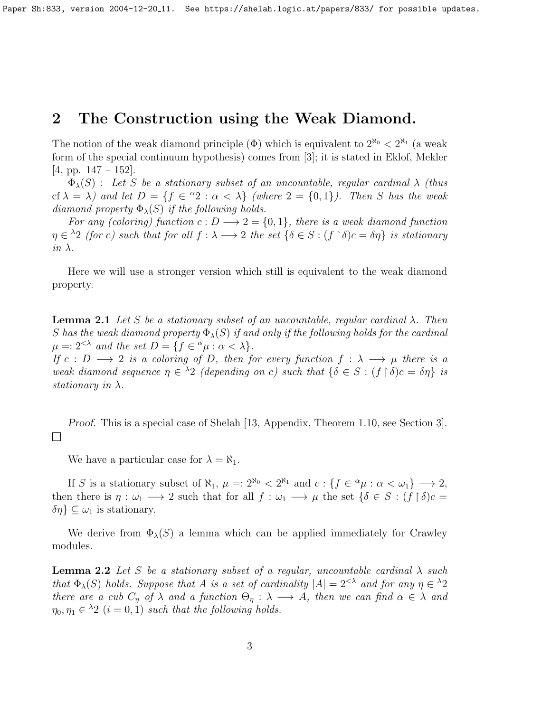### 2 The Construction using the Weak Diamond.

The notion of the weak diamond principle  $(\Phi)$  which is equivalent to  $2^{\aleph_0} < 2^{\aleph_1}$  (a weak form of the special continuum hypothesis) comes from [\[3\]](#page-8-1); it is stated in Eklof, Mekler  $[4, pp. 147 - 152].$  $[4, pp. 147 - 152].$ 

 $\Phi_{\lambda}(S)$  : Let S be a stationary subset of an uncountable, regular cardinal  $\lambda$  (thus cf  $\lambda = \lambda$ ) and let  $D = \{f \in {}^{\alpha}2 : \alpha < \lambda\}$  (where  $2 = \{0,1\}$ ). Then S has the weak diamond property  $\Phi_{\lambda}(S)$  if the following holds.

For any (coloring) function  $c: D \longrightarrow 2 = \{0, 1\}$ , there is a weak diamond function  $\eta \in {}^{\lambda}2$  (for c) such that for all  $f : \lambda \longrightarrow 2$  the set  $\{\delta \in S : (f \restriction \delta)c = \delta\eta\}$  is stationary in  $\lambda$ .

Here we will use a stronger version which still is equivalent to the weak diamond property.

**Lemma 2.1** Let S be a stationary subset of an uncountable, regular cardinal  $\lambda$ . Then S has the weak diamond property  $\Phi_{\lambda}(S)$  if and only if the following holds for the cardinal  $\mu =: 2^{< \lambda}$  and the set  $D = \{f \in {}^{\alpha}\mu : \alpha < \lambda\}.$ 

If  $c : D \longrightarrow 2$  is a coloring of D, then for every function  $f : \lambda \longrightarrow \mu$  there is a weak diamond sequence  $\eta \in \Lambda$  (depending on c) such that  $\{\delta \in S : (f \restriction \delta)c = \delta\eta\}$  is stationary in  $\lambda$ .

Proof. This is a special case of Shelah [\[13,](#page-9-6) Appendix, Theorem 1.10, see Section 3].  $\Box$ 

We have a particular case for  $\lambda = \aleph_1$ .

If S is a stationary subset of  $\aleph_1$ ,  $\mu =: 2^{\aleph_0} < 2^{\aleph_1}$  and  $c: \{f \in {}^{\alpha}\mu : \alpha < \omega_1\} \longrightarrow 2$ , then there is  $\eta : \omega_1 \longrightarrow 2$  such that for all  $f : \omega_1 \longrightarrow \mu$  the set  $\{\delta \in S : (f \upharpoonright \delta)c =$  $\{\delta\eta\}\subseteq\omega_1$  is stationary.

We derive from  $\Phi_{\lambda}(S)$  a lemma which can be applied immediately for Crawley modules.

<span id="page-2-0"></span>**Lemma 2.2** Let S be a stationary subset of a regular, uncountable cardinal  $\lambda$  such that  $\Phi_{\lambda}(S)$  holds. Suppose that A is a set of cardinality  $|A| = 2^{\lt \lambda}$  and for any  $\eta \in {}^{\lambda}2$ there are a cub  $C_n$  of  $\lambda$  and a function  $\Theta_n : \lambda \longrightarrow A$ , then we can find  $\alpha \in \lambda$  and  $\eta_0, \eta_1 \in {}^{\lambda}2$   $(i = 0, 1)$  such that the following holds.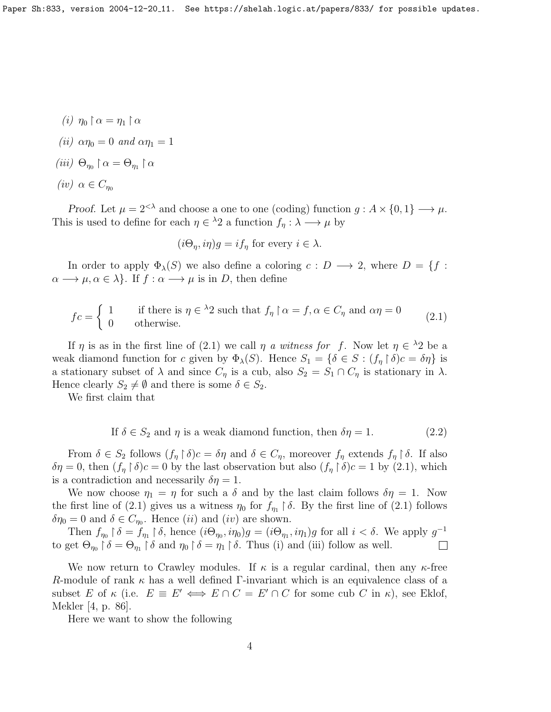- (i)  $\eta_0 \restriction \alpha = \eta_1 \restriction \alpha$
- (ii)  $\alpha \eta_0 = 0$  and  $\alpha \eta_1 = 1$
- (iii)  $\Theta_{\eta_0} \upharpoonright \alpha = \Theta_{\eta_1} \upharpoonright \alpha$
- (iv)  $\alpha \in C_{\eta_0}$

Proof. Let  $\mu = 2^{\langle \lambda \rangle}$  and choose a one to one (coding) function  $g : A \times \{0, 1\} \longrightarrow \mu$ . This is used to define for each  $\eta \in {}^{\lambda}2$  a function  $f_{\eta} : \lambda \longrightarrow \mu$  by

<span id="page-3-0"></span>
$$
(i\Theta_{\eta}, i\eta)g = if_{\eta}
$$
 for every  $i \in \lambda$ .

In order to apply  $\Phi_{\lambda}(S)$  we also define a coloring  $c : D \longrightarrow 2$ , where  $D = \{f :$  $\alpha \longrightarrow \mu, \alpha \in \lambda$ . If  $f : \alpha \longrightarrow \mu$  is in D, then define

$$
fc = \begin{cases} 1 & \text{if there is } \eta \in {}^{\lambda}2 \text{ such that } f_{\eta} \upharpoonright \alpha = f, \alpha \in C_{\eta} \text{ and } \alpha \eta = 0 \\ 0 & \text{otherwise.} \end{cases}
$$
 (2.1)

If  $\eta$  is as in the first line of [\(2.1\)](#page-3-0) we call  $\eta$  a witness for f. Now let  $\eta \in {}^{\lambda}2$  be a weak diamond function for c given by  $\Phi_{\lambda}(S)$ . Hence  $S_1 = {\delta \in S : (f_n \upharpoonright \delta)c = \delta \eta}$  is a stationary subset of  $\lambda$  and since  $C_{\eta}$  is a cub, also  $S_2 = S_1 \cap C_{\eta}$  is stationary in  $\lambda$ . Hence clearly  $S_2 \neq \emptyset$  and there is some  $\delta \in S_2$ .

We first claim that

If 
$$
\delta \in S_2
$$
 and  $\eta$  is a weak diamond function, then  $\delta \eta = 1$ . (2.2)

From  $\delta \in S_2$  follows  $(f_\eta \upharpoonright \delta)c = \delta\eta$  and  $\delta \in C_\eta$ , moreover  $f_\eta$  extends  $f_\eta \upharpoonright \delta$ . If also  $\delta \eta = 0$ , then  $(f_{\eta} \restriction \delta) c = 0$  by the last observation but also  $(f_{\eta} \restriction \delta) c = 1$  by  $(2.1)$ , which is a contradiction and necessarily  $\delta \eta = 1$ .

We now choose  $\eta_1 = \eta$  for such a  $\delta$  and by the last claim follows  $\delta \eta = 1$ . Now the first line of [\(2.1\)](#page-3-0) gives us a witness  $\eta_0$  for  $f_{\eta_1} \restriction \delta$ . By the first line of (2.1) follows  $\delta \eta_0 = 0$  and  $\delta \in C_{\eta_0}$ . Hence  $(ii)$  and  $(iv)$  are shown.

Then  $f_{\eta_0} \upharpoonright \delta = \tilde{f}_{\eta_1} \upharpoonright \delta$ , hence  $(i\Theta_{\eta_0}, i\eta_0)g = (i\Theta_{\eta_1}, i\eta_1)g$  for all  $i < \delta$ . We apply  $g^{-1}$ to get  $\Theta_{\eta_0} \restriction \delta = \Theta_{\eta_1} \restriction \delta$  and  $\eta_0 \restriction \delta = \eta_1 \restriction \delta$ . Thus (i) and (iii) follow as well.  $\overline{\phantom{a}}$ 

We now return to Crawley modules. If  $\kappa$  is a regular cardinal, then any  $\kappa$ -free R-module of rank  $\kappa$  has a well defined Γ-invariant which is an equivalence class of a subset E of  $\kappa$  (i.e.  $E \equiv E' \iff E \cap C = E' \cap C$  for some cub C in  $\kappa$ ), see Eklof, Mekler [\[4,](#page-9-4) p. 86].

<span id="page-3-1"></span>Here we want to show the following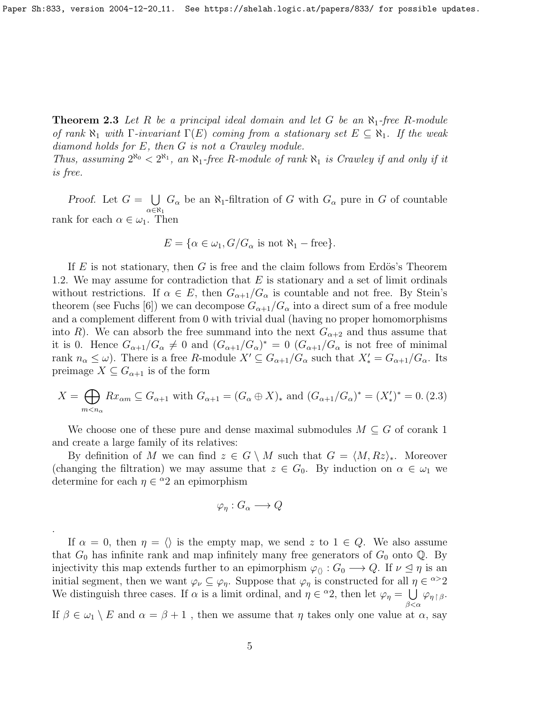**Theorem 2.3** Let R be a principal ideal domain and let G be an  $\aleph_1$ -free R-module of rank  $\aleph_1$  with  $\Gamma$ -invariant  $\Gamma(E)$  coming from a stationary set  $E \subseteq \aleph_1$ . If the weak diamond holds for E, then G is not a Crawley module.

Thus, assuming  $2^{\aleph_0} < 2^{\aleph_1}$ , an  $\aleph_1$ -free R-module of rank  $\aleph_1$  is Crawley if and only if it is free.

Proof. Let  $G = \bigcup G_{\alpha}$  be an  $\aleph_1$ -filtration of G with  $G_{\alpha}$  pure in G of countable  $\alpha \in \aleph_1$ rank for each  $\alpha \in \omega_1$ . Then

$$
E = \{ \alpha \in \omega_1, G/G_\alpha \text{ is not } \aleph_1 - \text{free} \}.
$$

If E is not stationary, then G is free and the claim follows from Erdös's Theorem [1.2.](#page-1-1) We may assume for contradiction that  $E$  is stationary and a set of limit ordinals without restrictions. If  $\alpha \in E$ , then  $G_{\alpha+1}/G_{\alpha}$  is countable and not free. By Stein's theorem (see Fuchs [\[6\]](#page-9-7)) we can decompose  $G_{\alpha+1}/G_{\alpha}$  into a direct sum of a free module and a complement different from 0 with trivial dual (having no proper homomorphisms into R). We can absorb the free summand into the next  $G_{\alpha+2}$  and thus assume that it is 0. Hence  $G_{\alpha+1}/G_{\alpha} \neq 0$  and  $(G_{\alpha+1}/G_{\alpha})^* = 0$   $(G_{\alpha+1}/G_{\alpha})$  is not free of minimal rank  $n_{\alpha} \leq \omega$ ). There is a free R-module  $X' \subseteq G_{\alpha+1}/G_{\alpha}$  such that  $X'_{*} = G_{\alpha+1}/G_{\alpha}$ . Its preimage  $X \subseteq G_{\alpha+1}$  is of the form

<span id="page-4-0"></span>
$$
X = \bigoplus_{m < n_{\alpha}} Rx_{\alpha m} \subseteq G_{\alpha+1} \text{ with } G_{\alpha+1} = (G_{\alpha} \oplus X)_{*} \text{ and } (G_{\alpha+1}/G_{\alpha})^{*} = (X'_{*})^{*} = 0. \tag{2.3}
$$

We choose one of these pure and dense maximal submodules  $M \subseteq G$  of corank 1 and create a large family of its relatives:

By definition of M we can find  $z \in G \setminus M$  such that  $G = \langle M, Rz \rangle_*$ . Moreover (changing the filtration) we may assume that  $z \in G_0$ . By induction on  $\alpha \in \omega_1$  we determine for each  $\eta \in {}^{\alpha}2$  an epimorphism

$$
\varphi_{\eta}: G_{\alpha} \longrightarrow Q
$$

.

If  $\alpha = 0$ , then  $\eta = \langle \rangle$  is the empty map, we send z to  $1 \in Q$ . We also assume that  $G_0$  has infinite rank and map infinitely many free generators of  $G_0$  onto  $\mathbb Q$ . By injectivity this map extends further to an epimorphism  $\varphi_{\langle} : G_0 \longrightarrow Q$ . If  $\nu \leq \eta$  is an initial segment, then we want  $\varphi_{\nu} \subseteq \varphi_{\eta}$ . Suppose that  $\varphi_{\eta}$  is constructed for all  $\eta \in \infty$ <sup>2</sup> We distinguish three cases. If  $\alpha$  is a limit ordinal, and  $\eta \in {}^{\alpha}2$ , then let  $\varphi_{\eta} = \bigcup \varphi_{\eta} {\upharpoonright} \beta$ .  $\beta<\alpha$ 

If  $\beta \in \omega_1 \setminus E$  and  $\alpha = \beta + 1$ , then we assume that  $\eta$  takes only one value at  $\alpha$ , say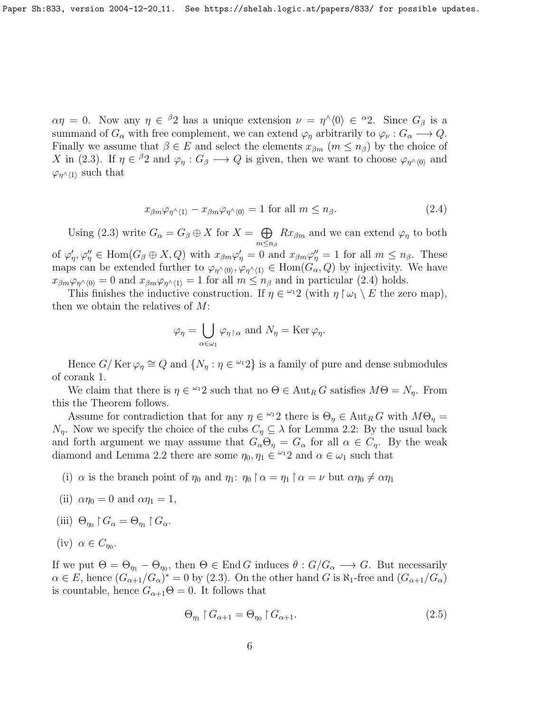$\alpha \eta = 0$ . Now any  $\eta \in {}^{\beta}2$  has a unique extension  $\nu = \eta^{\wedge} \langle 0 \rangle \in {}^{\alpha}2$ . Since  $G_{\beta}$  is a summand of  $G_{\alpha}$  with free complement, we can extend  $\varphi_n$  arbitrarily to  $\varphi_{\nu}: G_{\alpha} \longrightarrow Q$ . Finally we assume that  $\beta \in E$  and select the elements  $x_{\beta m}$   $(m \leq n_{\beta})$  by the choice of X in [\(2.3\)](#page-4-0). If  $\eta \in {}^{\beta}2$  and  $\varphi_{\eta} : G_{\beta} \longrightarrow Q$  is given, then we want to choose  $\varphi_{\eta} \wedge_{(0)}$  and  $\varphi_{\eta^{\wedge} \langle 1 \rangle}$  such that

<span id="page-5-0"></span>
$$
x_{\beta m}\varphi_{\eta'}\langle 1\rangle - x_{\beta m}\varphi_{\eta'}\langle 0\rangle = 1 \text{ for all } m \le n_{\beta}.
$$
 (2.4)

Using [\(2.3\)](#page-4-0) write  $G_{\alpha} = G_{\beta} \oplus X$  for  $X = \bigoplus Rx_{\beta m}$  and we can extend  $\varphi_{\eta}$  to both  $m \leq n_\beta$ of  $\varphi'_\eta, \varphi''_\eta \in \text{Hom}(G_\beta \oplus X, Q)$  with  $x_{\beta m} \varphi'_\eta = 0$  and  $x_{\beta m} \varphi''_\eta = 1$  for all  $m \leq n_\beta$ . These maps can be extended further to  $\varphi_{\eta^{\wedge}(0)}, \varphi_{\eta^{\wedge}(1)} \in \text{Hom}(G_{\alpha}, Q)$  by injectivity. We have  $x_{\beta m}\varphi_{\eta}\wedge_{(0)}=0$  and  $x_{\beta m}\varphi_{\eta}\wedge_{(1)}=1$  for all  $m\leq n_{\beta}$  and in particular [\(2.4\)](#page-5-0) holds.

This finishes the inductive construction. If  $\eta \in {}^{\omega_1}2$  (with  $\eta \upharpoonright \omega_1 \setminus E$  the zero map), then we obtain the relatives of  $M$ :

$$
\varphi_{\eta} = \bigcup_{\alpha \in \omega_1} \varphi_{\eta \upharpoonright \alpha} \text{ and } N_{\eta} = \text{Ker } \varphi_{\eta}.
$$

Hence  $G/\ker \varphi_{\eta} \cong Q$  and  $\{N_{\eta} : \eta \in {}^{\omega_1}2\}$  is a family of pure and dense submodules of corank 1.

We claim that there is  $\eta \in \{0, 2\}$  such that no  $\Theta \in \text{Aut}_R G$  satisfies  $M\Theta = N_\eta$ . From this the Theorem follows.

Assume for contradiction that for any  $\eta \in {}^{\omega_1}2$  there is  $\Theta_\eta \in {\rm Aut}_R G$  with  $M\Theta_\eta =$  $N_n$ . Now we specify the choice of the cubs  $C_n \subseteq \lambda$  for Lemma [2.2:](#page-2-0) By the usual back and forth argument we may assume that  $G_{\alpha} \Theta_{\eta} = G_{\alpha}$  for all  $\alpha \in C_{\eta}$ . By the weak diamond and Lemma [2.2](#page-2-0) there are some  $\eta_0, \eta_1 \in \mathbb{Z}^1$  and  $\alpha \in \omega_1$  such that

- (i)  $\alpha$  is the branch point of  $\eta_0$  and  $\eta_1$ :  $\eta_0 \upharpoonright \alpha = \eta_1 \upharpoonright \alpha = \nu$  but  $\alpha \eta_0 \neq \alpha \eta_1$
- (ii)  $\alpha \eta_0 = 0$  and  $\alpha \eta_1 = 1$ ,
- (iii)  $\Theta_{\eta_0} \restriction G_\alpha = \Theta_{\eta_1} \restriction G_\alpha.$

$$
(iv) \ \alpha \in C_{\eta_0}.
$$

If we put  $\Theta = \Theta_{\eta_1} - \Theta_{\eta_0}$ , then  $\Theta \in \text{End } G$  induces  $\theta : G/G_\alpha \longrightarrow G$ . But necessarily  $\alpha \in E$ , hence  $(G_{\alpha+1}/G_{\alpha})^* = 0$  by [\(2.3\)](#page-4-0). On the other hand G is  $\aleph_1$ -free and  $(G_{\alpha+1}/G_{\alpha})$ is countable, hence  $G_{\alpha+1}\Theta = 0$ . It follows that

<span id="page-5-1"></span>
$$
\Theta_{\eta_1} \upharpoonright G_{\alpha+1} = \Theta_{\eta_0} \upharpoonright G_{\alpha+1}.\tag{2.5}
$$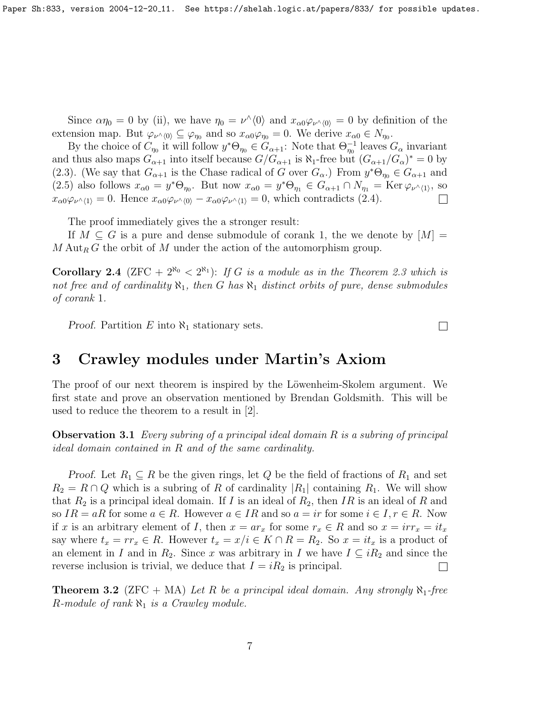Paper Sh:833, version 2004-12-20<sub>-</sub>11. See https://shelah.logic.at/papers/833/ for possible updates.

Since  $\alpha \eta_0 = 0$  by (ii), we have  $\eta_0 = \nu^{\wedge} \langle 0 \rangle$  and  $x_{\alpha 0} \varphi_{\nu^{\wedge} \langle 0 \rangle} = 0$  by definition of the extension map. But  $\varphi_{\nu^{\wedge}\langle 0\rangle} \subseteq \varphi_{\eta_0}$  and so  $x_{\alpha 0} \varphi_{\eta_0} = 0$ . We derive  $x_{\alpha 0} \in N_{\eta_0}$ .

By the choice of  $C_{\eta_0}$  it will follow  $y^*\Theta_{\eta_0} \in G_{\alpha+1}$ : Note that  $\Theta_{\eta_0}^{-1}$  leaves  $G_{\alpha}$  invariant and thus also maps  $G_{\alpha+1}$  into itself because  $G/G_{\alpha+1}$  is  $\aleph_1$ -free but  $(G_{\alpha+1}/G_{\alpha})^* = 0$  by [\(2.3\)](#page-4-0). (We say that  $G_{\alpha+1}$  is the Chase radical of G over  $G_{\alpha}$ .) From  $y^*\Theta_{\eta_0} \in G_{\alpha+1}$  and [\(2.5\)](#page-5-1) also follows  $x_{\alpha 0} = y^* \Theta_{\eta_0}$ . But now  $x_{\alpha 0} = y^* \Theta_{\eta_1} \in G_{\alpha+1} \cap N_{\eta_1} = \text{Ker } \varphi_{\nu^{\wedge} \langle 1 \rangle}$ , so  $x_{\alpha0}\varphi_{\nu}(\lambda) = 0$ . Hence  $x_{\alpha0}\varphi_{\nu}(\lambda) - x_{\alpha0}\varphi_{\nu}(\lambda) = 0$ , which contradicts [\(2.4\)](#page-5-0).  $\Box$ 

The proof immediately gives the a stronger result:

If  $M \subseteq G$  is a pure and dense submodule of corank 1, the we denote by  $|M| =$  $M \, \mathrm{Aut}_R G$  the orbit of M under the action of the automorphism group.

**Corollary 2.4** (ZFC +  $2^{\aleph_0}$  <  $2^{\aleph_1}$ ): If G is a module as in the Theorem [2.3](#page-3-1) which is not free and of cardinality  $\aleph_1$ , then G has  $\aleph_1$  distinct orbits of pure, dense submodules of corank 1.

Proof. Partition  $E$  into  $\aleph_1$  stationary sets.

#### 3 Crawley modules under Martin's Axiom

The proof of our next theorem is inspired by the Löwenheim-Skolem argument. We first state and prove an observation mentioned by Brendan Goldsmith. This will be used to reduce the theorem to a result in [\[2\]](#page-8-0).

<span id="page-6-0"></span>**Observation 3.1** Every subring of a principal ideal domain  $R$  is a subring of principal ideal domain contained in R and of the same cardinality.

*Proof.* Let  $R_1 \subseteq R$  be the given rings, let Q be the field of fractions of  $R_1$  and set  $R_2 = R \cap Q$  which is a subring of R of cardinality  $|R_1|$  containing  $R_1$ . We will show that  $R_2$  is a principal ideal domain. If I is an ideal of  $R_2$ , then IR is an ideal of R and so  $IR = aR$  for some  $a \in R$ . However  $a \in IR$  and so  $a = ir$  for some  $i \in I, r \in R$ . Now if x is an arbitrary element of I, then  $x = ar_x$  for some  $r_x \in R$  and so  $x = irr_x = it_x$ say where  $t_x = rr_x \in R$ . However  $t_x = x/i \in K \cap R = R_2$ . So  $x = it_x$  is a product of an element in I and in R<sub>2</sub>. Since x was arbitrary in I we have  $I \subseteq iR_2$  and since the reverse inclusion is trivial, we deduce that  $I = iR_2$  is principal.  $\Box$ 

<span id="page-6-1"></span>**Theorem 3.2** (ZFC + MA) Let R be a principal ideal domain. Any strongly  $\aleph_1$ -free R-module of rank  $\aleph_1$  is a Crawley module.

 $\Box$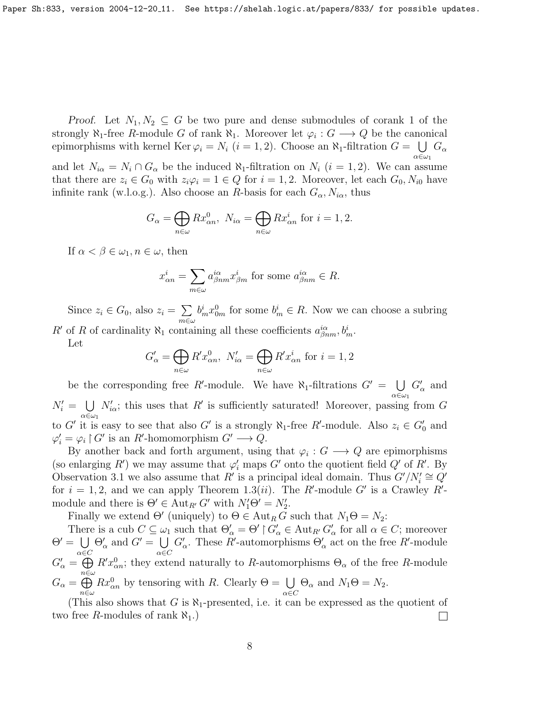*Proof.* Let  $N_1, N_2 \subseteq G$  be two pure and dense submodules of corank 1 of the strongly  $\aleph_1$ -free R-module G of rank  $\aleph_1$ . Moreover let  $\varphi_i: G \longrightarrow Q$  be the canonical epimorphisms with kernel Ker  $\varphi_i = N_i$   $(i = 1, 2)$ . Choose an  $\aleph_1$ -filtration  $G = \bigcup G_\alpha$ α∈ω<sup>1</sup> and let  $N_{i\alpha} = N_i \cap G_\alpha$  be the induced  $\aleph_1$ -filtration on  $N_i$   $(i = 1, 2)$ . We can assume that there are  $z_i \in G_0$  with  $z_i\varphi_i = 1 \in Q$  for  $i = 1, 2$ . Moreover, let each  $G_0, N_{i0}$  have infinite rank (w.l.o.g.). Also choose an R-basis for each  $G_{\alpha}$ ,  $N_{i\alpha}$ , thus

$$
G_{\alpha} = \bigoplus_{n \in \omega} Rx_{\alpha n}^{0}, \ N_{i\alpha} = \bigoplus_{n \in \omega} Rx_{\alpha n}^{i} \text{ for } i = 1, 2.
$$

If  $\alpha < \beta \in \omega_1, n \in \omega$ , then

$$
x_{\alpha n}^{i} = \sum_{m \in \omega} a_{\beta n m}^{i \alpha} x_{\beta m}^{i}
$$
 for some  $a_{\beta n m}^{i \alpha} \in R$ .

Since  $z_i \in G_0$ , also  $z_i = \sum$ m∈ω  $b_m^i x_{0m}^0$  for some  $b_m^i \in R$ . Now we can choose a subring R' of R of cardinality  $\aleph_1$  containing all these coefficients  $a_{\beta nm}^{i\alpha}$ ,  $b_m^i$ .

Let

$$
G'_{\alpha} = \bigoplus_{n \in \omega} R' x_{\alpha n}^0, \ N'_{i\alpha} = \bigoplus_{n \in \omega} R' x_{\alpha n}^i \text{ for } i = 1, 2
$$

be the corresponding free R'-module. We have  $\aleph_1$ -filtrations  $G' = \bigcup G'_\alpha$  and  $N'_i = \bigcup N'_{i\alpha}$ ; this uses that R' is sufficiently saturated! Moreover, passing from G  $\alpha \in \omega_1$ to G' it is easy to see that also G' is a strongly  $\aleph_1$ -free R'-module. Also  $z_i \in G_0'$  and  $\varphi_i' = \varphi_i \upharpoonright G'$  is an R'-homomorphism  $G' \longrightarrow Q$ .

By another back and forth argument, using that  $\varphi_i: G \longrightarrow Q$  are epimorphisms (so enlarging R') we may assume that  $\varphi'_i$  maps G' onto the quotient field  $Q'$  of R'. By Observation [3.1](#page-6-0) we also assume that R' is a principal ideal domain. Thus  $G'/N_i' \cong Q'$ for  $i = 1, 2$ , and we can apply Theorem [1.3\(](#page-1-0)*ii*). The R'-module G' is a Crawley R'module and there is  $\Theta' \in \text{Aut}_{R'} G'$  with  $N'_1 \Theta' = N'_2$ .

Finally we extend  $\Theta'$  (uniquely) to  $\Theta \in \text{Aut}_R G$  such that  $N_1\Theta = N_2$ :

There is a cub  $C \subseteq \omega_1$  such that  $\Theta'_\alpha = \Theta' \upharpoonright G'_\alpha \in \text{Aut}_{R'} G'_\alpha$  for all  $\alpha \in C$ ; moreover  $\Theta' = \bigcup$ α∈C  $\Theta'_{\alpha}$  and  $G' = \bigcup$ α∈C  $G'_{\alpha}$ . These R'-automorphisms  $\Theta'_{\alpha}$  act on the free R'-module  $G'_{\alpha} = \bigoplus$  $n \in \omega$  $R'x_{\alpha n}^0$ ; they extend naturally to R-automorphisms  $\Theta_{\alpha}$  of the free R-module  $G_{\alpha} = \bigoplus$ n∈ω  $Rx_{\alpha n}^0$  by tensoring with R. Clearly  $\Theta = \bigcup_{\alpha \in C}$  $\Theta_{\alpha}$  and  $N_1\Theta = N_2$ .

(This also shows that G is  $\aleph_1$ -presented, i.e. it can be expressed as the quotient of two free R-modules of rank  $\aleph_1$ .)  $\Box$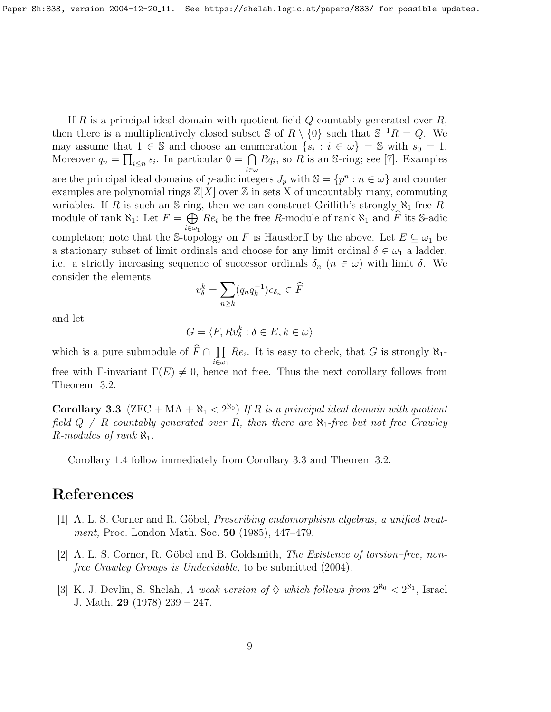If R is a principal ideal domain with quotient field  $Q$  countably generated over  $R$ , then there is a multiplicatively closed subset S of  $R \setminus \{0\}$  such that  $S^{-1}R = Q$ . We may assume that  $1 \in \mathbb{S}$  and choose an enumeration  $\{s_i : i \in \omega\} = \mathbb{S}$  with  $s_0 = 1$ . Moreover  $q_n = \prod_{i \leq n} s_i$ . In particular  $0 = \bigcap Rq_i$ , so R is an S-ring; see [\[7\]](#page-9-8). Examples are the principal ideal domains of p-adic integers  $J_p$  with  $\mathbb{S} = \{p^n : n \in \omega\}$  and counter examples are polynomial rings  $\mathbb{Z}[X]$  over  $\mathbb Z$  in sets X of uncountably many, commuting variables. If R is such an S-ring, then we can construct Griffith's strongly  $\aleph_1$ -free Rmodule of rank  $\aleph_1$ : Let  $F = \bigoplus_{i \in \mathbb{N}} Re_i$  be the free R-module of rank  $\aleph_1$  and  $\widehat{F}$  its S-adic  $i{\in}\omega_1$ completion; note that the S-topology on F is Hausdorff by the above. Let  $E \subseteq \omega_1$  be a stationary subset of limit ordinals and choose for any limit ordinal  $\delta \in \omega_1$  a ladder, i.e. a strictly increasing sequence of successor ordinals  $\delta_n$   $(n \in \omega)$  with limit  $\delta$ . We consider the elements

$$
v_{\delta}^k = \sum_{n \ge k} (q_n q_k^{-1}) e_{\delta_n} \in \widehat{F}
$$

and let

$$
G = \langle F, Rv_{\delta}^k : \delta \in E, k \in \omega \rangle
$$

which is a pure submodule of  $F \cap \prod_{i \in \mathcal{N}}$  $i\in\omega_1$  $Re_i$ . It is easy to check, that G is strongly  $\aleph_1$ free with Γ-invariant  $\Gamma(E) \neq 0$ , hence not free. Thus the next corollary follows from Theorem [3.2.](#page-6-1)

<span id="page-8-2"></span>**Corollary 3.3** (ZFC + MA +  $\aleph_1$  < 2<sup> $\aleph_0$ </sup>) If R is a principal ideal domain with quotient field  $Q \neq R$  countably generated over R, then there are  $\aleph_1$ -free but not free Crawley R-modules of rank  $\aleph_1$ .

Corollary [1.4](#page-1-2) follow immediately from Corollary [3.3](#page-8-2) and Theorem [3.2.](#page-6-1)

### References

- [1] A. L. S. Corner and R. Göbel, *Prescribing endomorphism algebras, a unified treat*ment, Proc. London Math. Soc. 50 (1985), 447–479.
- <span id="page-8-0"></span> $[2]$  A. L. S. Corner, R. Göbel and B. Goldsmith, *The Existence of torsion–free, non*free Crawley Groups is Undecidable, to be submitted (2004).
- <span id="page-8-1"></span>[3] K. J. Devlin, S. Shelah, A weak version of  $\Diamond$  which follows from  $2^{\aleph_0} < 2^{\aleph_1}$ , Israel J. Math. 29 (1978) 239 – 247.